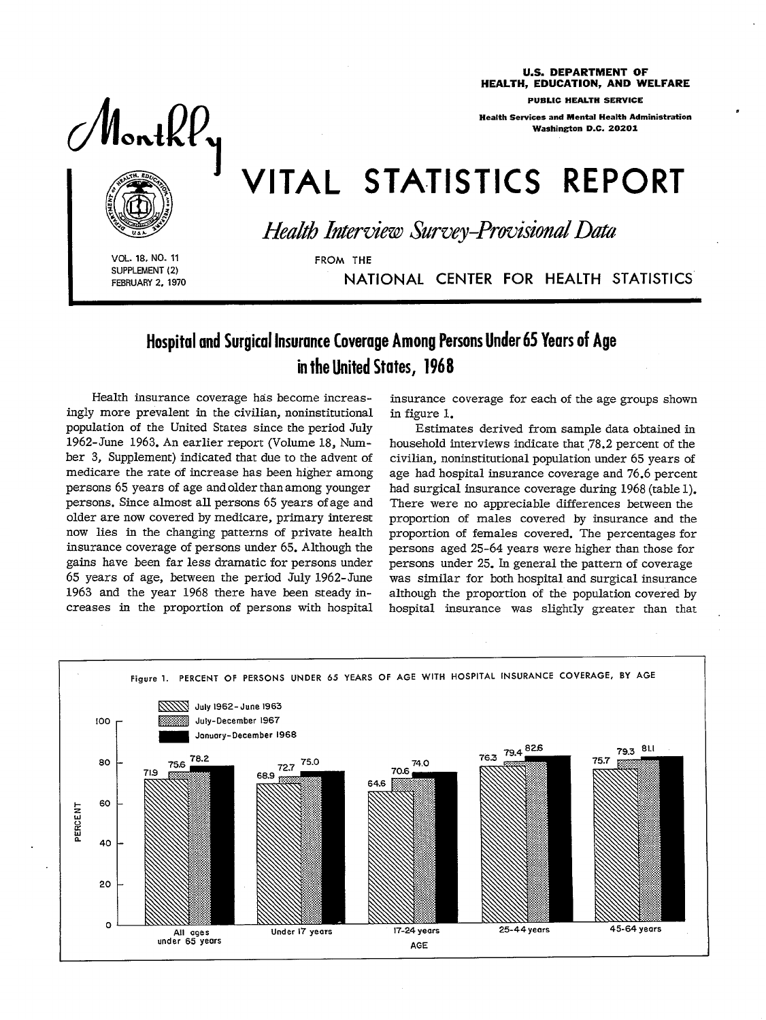U.S. DEPARTMENT OF HEALTH, EDUCATION, AND WELFARE

PUBLIC HEALTH SERVICE

Health Services and MentaI Health Administration Washington D.C. 20201

s

# VITAL STATISTICS REPORT



Monthly

*Health Interview Survey-Provisional Data* 

VOL. 18, NO. 11 FROM THE SUPPLEMENT (2)

**I** 

FEBRUARY 2, 1970 NATIONAL CENTER FOR HEALTH STATISTICS

# Hospital and Surgical Insurance Coverage Among Persons Under 65 Years of Age in the United States, 1968

**Health insurance coverage has become increasingly more prevalent in the civilian, noninstitutional population of the United States since the period July 1962-June 1963. An earlier report (Volume 18, Number 3, Supplement) indicated that due to the advent of medicare the rate of increase has been higher among persons 65 years of age and older than among younger persons. Since almost all persons 6\$ years of age and older are now covered by medicare, primary interest now lies in the changing patterns of private health insurance coverage of persons under 65. Although the gains have been far less dramatic for persons under 65 years of age, between the period July 1962-June 1963 and the year 1968 there have been steady increases in the proportion of persons with hospital**  **insurance coverage for each of the age groups shown in figure 1.** 

**Estimates derived from sample data obtained in household interviews indicate that 78.2 percent of the civilian, noninstitutional population under 65 years of age had hospital insurance coverage and 76.6 percent had surgical insurance coverage during 1968 (table 1). There were no appreciable differences between the proportion of males covered by insurance and the proportion of females covered. The percentages for persons aged 25-64 years were higher than those for persons under 25. In general the pattern of coverage was similar for both hospital and surgical insurance although the proportion of the population covered by hospital insurance was slightly greater than that** 

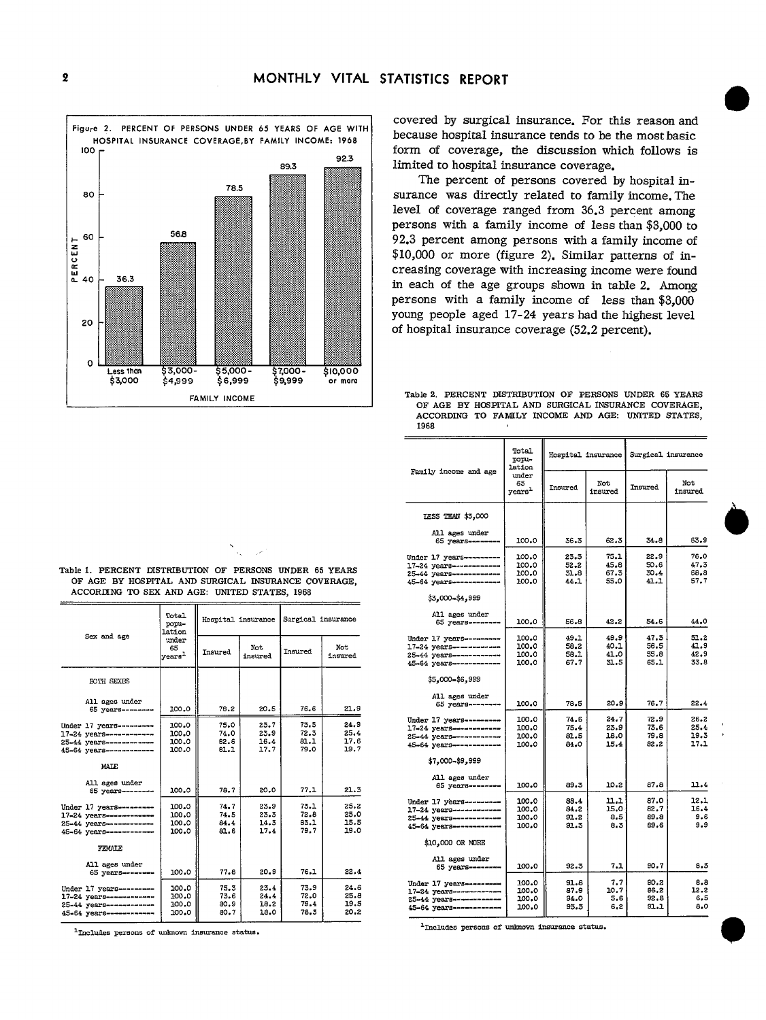

covered by surgical insurance. For this reason and because hospital insurance tends to be the most basic form of coverage, the discussion which follows is limited to hospital insurance coverage.

The percent of persons covered by hospital insurance was directly related to family income. The level of coverage ranged from 36.3 percent among persons with a family income of less than \$3,000 to 92.3 percent among persons with a family income of \$10,000 or more (figure 2). Similar patterns of increasing coverage with increasing income were found in each of the age groups shown in table 2. Among persons with a family income of less than \$3,000 young people aged 17-24 years had the highest level of hospital insurance coverage (52.2 percent).

Table 2. PERCENT DISTRIBUTION OF PERSONS UNDER 65 YEARS OF AGE BY HOSPITAL AND SURGICAL INSURANCE COVERAGE. ACCORDING TO FAMILY INCOME AND AGE: UNITED STATES, 1968

|                                                  | Total<br>popu-<br>lation          | Hospital insurance |                | Surgical insurance |                |
|--------------------------------------------------|-----------------------------------|--------------------|----------------|--------------------|----------------|
| Family income and age                            | under<br>65<br>years <sup>1</sup> | Insured            | Not<br>insured | Insured            | Not<br>insured |
| IESS THAN \$3,000                                |                                   |                    |                |                    |                |
| All ages under<br>65 years ---                   | 100.0                             | 36.3               | 62.3           | 34.8               | 63.9           |
|                                                  |                                   |                    |                |                    |                |
| Under 17 years ---------                         | 100.0                             | 23.3               | 75.1           | 22.9               | 76.0           |
| 17-24 years-----------                           | 100.0                             | 52.2               | 45.8           | 50.6               | 47.3           |
| 25-44 years-----------                           | 100.0                             | 31.8               | 67.3           | 30.4               | 68.8           |
| 45-64 years ---------                            | 100.0                             | 44.1               | 55.0           | 41.1               | 57.7           |
| \$3,000-\$4,999                                  |                                   |                    |                |                    |                |
| All ages under                                   |                                   |                    |                |                    |                |
| 65 years --------                                | 100.0                             | 56.8               | 42.2           | 54.6               | 44.0           |
|                                                  |                                   |                    |                |                    |                |
| Under 17 years ---------                         | 100.0                             | 49.1               | 49.9           | 47.3               | 51.2<br>41.9   |
| 17-24 years----------                            | 100.0<br>100.0                    | 58.2<br>58.1       | 40.1<br>41.0   | 56.5<br>55.8       | 42.9           |
| 25-44 years------------                          | 100.0                             | 67.7               | 31.5           | 65.1               | 33.8           |
| 45-64 years ------------                         |                                   |                    |                |                    |                |
| \$5,000-\$6,999                                  |                                   |                    |                |                    |                |
| All ages under                                   |                                   |                    |                |                    |                |
| 65 уеагн---                                      | 100.0                             | 78.5               | 20.9           | 76.7               | 22.4           |
|                                                  |                                   |                    |                |                    |                |
| Under 17 years--------                           | 100.0                             | 74.6               | 24.7           | 72.9               | 26.2<br>25.4   |
| 17-24 years------------                          | 100.0<br>100.0                    | 75.4<br>81.5       | 23.9<br>18.0   | 73,6<br>79.8       | 19.3           |
| 25-44 years------------                          | 100.0                             | 84.0               | 15.4           | 82.2               | 17.1           |
| 45-64 years ---------                            |                                   |                    |                |                    |                |
| \$7.000-\$9,999                                  |                                   |                    |                |                    |                |
| All ages under                                   |                                   |                    |                |                    |                |
| 65 years-----                                    | 100.0                             | 89.3               | 10.2           | 87.8               | 11.4           |
|                                                  |                                   |                    | 11.1           | 87.0               | 12.1           |
| Under 17 years---------                          | 100.0<br>100.0                    | 88.4<br>84.2       | 15.0           | 82.7               | 16.4           |
| 17-24 years-----------<br>25-44 years----------- | 100.0                             | 91.2               | 8.5            | 89.8               | 9.6            |
| 45-64 years--------                              | 100.0                             | 91.3               | 8.3            | 89.6               | 9.9            |
|                                                  |                                   |                    |                |                    |                |
| \$10,000 OR MORE                                 |                                   |                    |                |                    |                |
| All ages under                                   |                                   |                    |                |                    |                |
| 65 years--------                                 | 100.0                             | 92.3               | 7.1            | 90.7               | 8.3            |
|                                                  |                                   |                    |                |                    |                |
| Under 17 years------                             | 100.0                             | 91.8               | 7.7            | 90.2               | 8.8            |
| 17-24 years------------                          | 100.0                             | 87.9<br>94.0       | 10.7<br>5.6    | 86.2<br>92.8       | 12.2<br>6.5    |
| 25-44 years------------                          | 100.0<br>100.0                    | 93.3               | 6,2            | 91.1               | 8.0            |
| 45-64 years --------                             |                                   |                    |                |                    |                |

| <sup>1</sup> Includes persons of unknown insurance status. |  |  |  |
|------------------------------------------------------------|--|--|--|
|                                                            |  |  |  |

Table 1. PERCENT DISTRIBUTION OF PERSONS UNDER 65 YEARS OF AGE BY HOSPITAL AND SURGICAL INSURANCE COVERAGE, ACCORDING TO SEX AND AGE: UNITED STATES, 1968

Τ

| Sex and age                                                                                               | Total<br>popu-<br>lation          | Hospital insurance           |                              | Surgical insurance           |                              |
|-----------------------------------------------------------------------------------------------------------|-----------------------------------|------------------------------|------------------------------|------------------------------|------------------------------|
|                                                                                                           | under<br>65<br>years <sup>1</sup> | Insured                      | Not.<br>insured              | Insured                      | Not<br>insured               |
| <b>BOTH SEXES</b>                                                                                         |                                   |                              |                              |                              |                              |
| All ages under<br>65 years--------                                                                        | 100.0                             | 78.2                         | 20.5                         | 76.6                         | 21.9                         |
| Under 17 years---------<br>17-24 years------------<br>25-44 vears------------<br>45-64 years------------  | 100.0<br>100.0<br>100.0<br>100.0  | 75.0<br>74.0<br>82.6<br>81.1 | 23.7<br>23.9<br>16.4<br>17.7 | 73.5<br>72.3<br>81.1<br>79.0 | 24.9<br>25.4<br>17.6<br>19.7 |
| MALE                                                                                                      |                                   |                              |                              |                              |                              |
| All ages under<br>65 years--------                                                                        | 100.0                             | 78.7                         | 20.0                         | 77.1                         | 21.3                         |
| Under 17 years---------<br>17-24 years------------<br>25-44 years-----------<br>45-64 years-----------    | 100.0<br>100.0<br>100.0<br>100.0  | 74.7<br>74.5<br>84.4<br>81.6 | 23.9<br>23.3<br>14.5<br>17.4 | 73.1<br>72.8<br>83.1<br>79.7 | 25.2<br>25.0<br>15.5<br>19.0 |
| FEMALE                                                                                                    |                                   |                              |                              |                              |                              |
| All ages under<br>65 years--------                                                                        | 100.0                             | 77.8                         | 20.9                         | 76.1                         | 22.4                         |
| Under 17 years --------<br>17-24 years------------<br>25-44 years -----------<br>45-64 years------------- | 100.0<br>100.0<br>100.0<br>100.0  | 75.3<br>73.6<br>80.9<br>80.7 | 23.4<br>24.4<br>18.2<br>18.0 | 73.9<br>72.0<br>79.4<br>78.3 | 24.6<br>25.8<br>19.5<br>20.2 |

<sup>1</sup>Includes persons of unknown insurance status.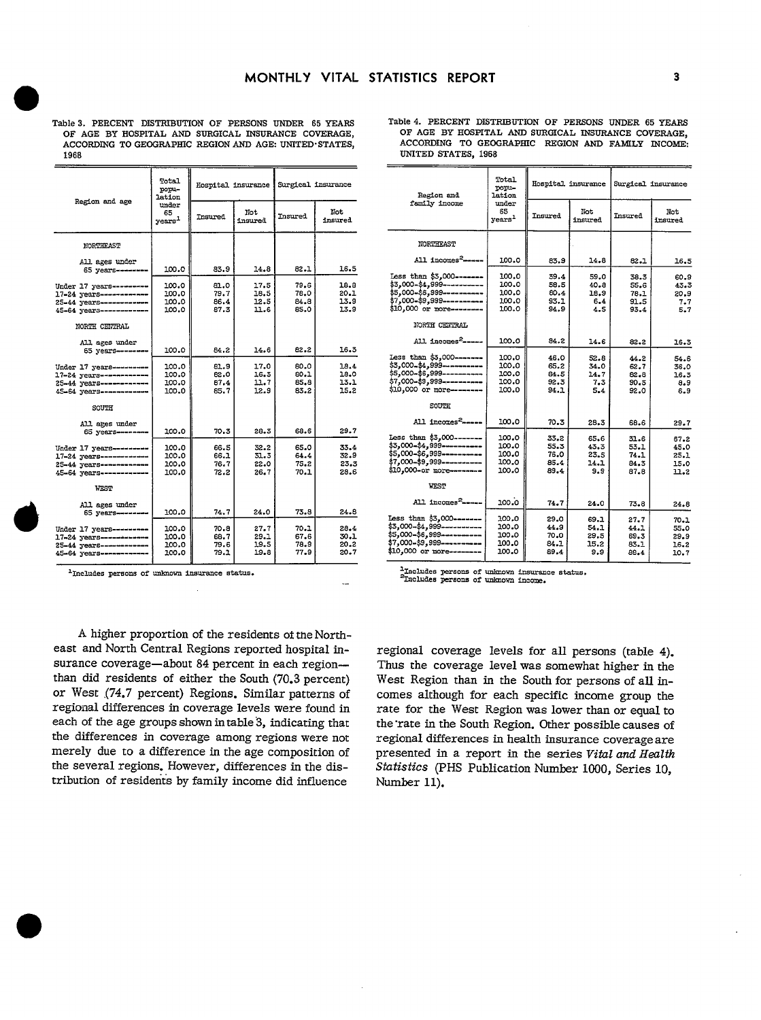|      |  |  | Table 3. PERCENT DISTRIBUTION OF PERSONS UNDER 65 YEARS |  |
|------|--|--|---------------------------------------------------------|--|
|      |  |  | OF AGE BY HOSPITAL AND SURGICAL INSURANCE COVERAGE,     |  |
|      |  |  | ACCORDING TO GEOGRAPHIC REGION AND AGE: UNITED STATES,  |  |
| 1968 |  |  |                                                         |  |

|                                                                                                          | Total<br>popu-<br>lation          | Hospital insurance           |                              | Surgical insurance           |                              |
|----------------------------------------------------------------------------------------------------------|-----------------------------------|------------------------------|------------------------------|------------------------------|------------------------------|
| Region and age                                                                                           | under<br>65<br>years <sup>1</sup> | Insured                      | Not<br>insured               | Insured                      | Not<br>insured               |
| NORTHEAST                                                                                                |                                   |                              |                              |                              |                              |
| All ages under<br>65 years--------                                                                       | 100.0                             | 83.9                         | 14.8                         | 82.1                         | 16.5                         |
| Under 17 years --------<br>17-24 years------------<br>25-44 years-----------<br>45-64 years------------  | 100.0<br>100.0<br>100.0<br>100.0  | 81.0<br>79.7<br>86.4<br>87.3 | 17.5<br>18.5<br>12.5<br>11.6 | 79.6<br>78.0<br>84.8<br>85.0 | 18.8<br>20.1<br>13.9<br>13.9 |
| NORTH CENTRAL                                                                                            |                                   |                              |                              |                              |                              |
| All ages under<br>65 years----                                                                           | 100.0                             | 84.2                         | 14.6                         | 82.2                         | 16.3                         |
| Under 17 years---------<br>17-24 years------------<br>25-44 years-----------<br>45-64 vears ------------ | 100.0<br>100.0<br>100.0<br>100.0  | 81.9<br>82.0<br>87.4<br>85.7 | 17.0<br>16.3<br>11.7<br>12.9 | 60.0<br>80.1<br>85.8<br>83.2 | 18.4<br>18.0<br>13.1<br>15.2 |
| SOUTH                                                                                                    |                                   |                              |                              |                              |                              |
| All ares under<br>65 years--------                                                                       | 100.0                             | 70.3                         | 28.3                         | 68.6                         | 29.7                         |
| Under 17 years--------<br>17-24 years------------<br>25-44 уеатв-----------<br>45-64 years -----------   | 100.0<br>100.0<br>100.0<br>100.0  | 66.5<br>66.1<br>76.7<br>72.2 | 32.2<br>31.3<br>22.0<br>26.7 | 65.0<br>64.4<br>75.2<br>70.1 | 33.4<br>32.9<br>23.3<br>28.6 |
| WEST                                                                                                     |                                   |                              |                              |                              |                              |
| All ages under<br>65 years----                                                                           | 100.0                             | 74.7                         | 24.0                         | 73.8                         | 24.8                         |
| Under 17 years---------<br>17-24 years------------<br>25-44 уеать-----------<br>45-64 years------------  | 100.0<br>100.0<br>100.0<br>100.0  | 70.8<br>68.7<br>79.6<br>79.1 | 27.7<br>29.1<br>19.5<br>19.8 | 70.1<br>67.6<br>78.9<br>77.9 | 28.4<br>30.1<br>20.2<br>20.7 |

<sup>1</sup>Includes persons of unknown insurance status.

| Region and                                                                                                                                        | Total<br>popu-<br>lation                  |                                      | Hospital insurance                  | Surgical insurance                   |                                      |
|---------------------------------------------------------------------------------------------------------------------------------------------------|-------------------------------------------|--------------------------------------|-------------------------------------|--------------------------------------|--------------------------------------|
| family income                                                                                                                                     | under<br>65<br>${\tt years}^1$            | Insured                              | Not<br>insured                      | Insured                              | Not<br>insured                       |
| NORTHEAST                                                                                                                                         |                                           |                                      |                                     |                                      |                                      |
| All incomes <sup>2</sup> ------                                                                                                                   | 100.0                                     | 83.9                                 | 14.8                                | 82.1                                 | 16.5                                 |
| Less than \$3,000-------<br>\$3,000-\$4,999----------<br>\$5,000-\$6,999----------<br>\$7,000-\$9,999----------<br>\$10,000 or more--------       | 100.0<br>100.0<br>100.0<br>100.0<br>100.0 | 39.4<br>58.5<br>80.4<br>93.1<br>94.9 | 59,0<br>40.8<br>18.9<br>6.4<br>4.S  | 38.3<br>55.6<br>78.1<br>91.5<br>93.4 | 60.9<br>43.3<br>20.9<br>7.7<br>5.7   |
| NORTH CENTRAL                                                                                                                                     |                                           |                                      |                                     |                                      |                                      |
| All incomes <sup>2</sup> -----                                                                                                                    | 100.0                                     | 3.18                                 | 14.6                                | 82.2                                 | 16.3                                 |
| Less than \$3,000-------<br>\$3,000-\$4,999-----------<br>\$5,000-\$6,999----------<br>\$7,000-\$9,999----------<br>\$10,000 or more--------      | 100.0<br>100.0<br>100.0<br>100.0<br>100.0 | 46.0<br>65.2<br>84.5<br>92.3<br>94.1 | 52.8<br>34.0<br>14.7<br>7.3<br>5.4  | 44.2<br>62.7<br>82.8<br>90.5<br>92.0 | 54.6<br>36.0<br>16.3<br>8.9<br>6.9   |
| <b>SOUTH</b>                                                                                                                                      |                                           |                                      |                                     |                                      |                                      |
| All incomes <sup>2</sup> -----                                                                                                                    | 100.0                                     | 70.3                                 | 28.3                                | 68.6                                 | 29.7                                 |
| Tess than \$3,000-------<br>$$3,000 - $4,999$ -----------<br>\$5,000-\$6,999----------<br>\$7,000-\$9,999----------<br>\$10.000-or more--------   | 100.0<br>100.0<br>100.0<br>100.0<br>100.0 | 33.2<br>55.3<br>76.0<br>85.4<br>89.4 | 65.6<br>43.3<br>23.5<br>14.1<br>9.9 | 31.6<br>53.1<br>74.1<br>84.3<br>87.8 | 67.2<br>45.0<br>25.1<br>15.0<br>11.2 |
| <b>WEST</b>                                                                                                                                       |                                           |                                      |                                     |                                      |                                      |
| All incomes <sup>2</sup> -----                                                                                                                    | 100.0                                     | 74.7                                 | 24.0                                | 73.8                                 | 24.8                                 |
| Less than \$3,000-------<br>\$3,000-\$4,999-----------<br>\$5,000-\$6,999-----------<br>$$7,000 - $9,999$ -----------<br>\$10,000 or more-------- | 100.0<br>100.0<br>100.0<br>100.0<br>100.0 | 29.0<br>44.9<br>70.0<br>84.1<br>89.4 | 69.1<br>54.1<br>29.5<br>15.2<br>9.9 | 27.7<br>44.1<br>69.3<br>83.1<br>86.4 | 70.1<br>55.0<br>29.9<br>16.2<br>10.7 |

Table 4. PERCENT DISTRIBUTION OF PERSONS UNDER 65 YEARS OF AGE BY HOSPITAL AND SURGICAL INSURANCE COVERAGE, ACCORDING TO GEOGRAPHIC REGION AND FAMILY INCOME: **UNITED STATES, 1968** 

<sup>1</sup>Includes persons of unknown insurance status.<br><sup>2</sup>Includes persons of unknown income.

A higher proportion of the residents of the Northeast and North Central Regions reported hospital insurance coverage-about 84 percent in each regionthan did residents of either the South (70.3 percent) or West (74.7 percent) Regions. Similar patterns of regional differences in coverage levels were found in each of the age groups shown in table 3, indicating that the differences in coverage among regions were not merely due to a difference in the age composition of the several regions. However, differences in the distribution of residents by family income did influence

regional coverage levels for all persons (table 4). Thus the coverage level was somewhat higher in the West Region than in the South for persons of all incomes although for each specific income group the rate for the West Region was lower than or equal to the rate in the South Region. Other possible causes of regional differences in health insurance coverage are presented in a report in the series Vital and Health Statistics (PHS Publication Number 1000, Series 10, Number 11).